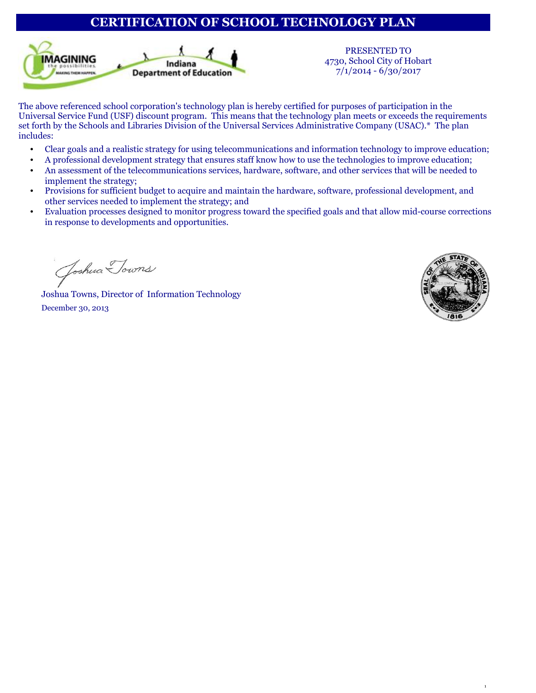# **CERTIFICATION OF SCHOOL TECHNOLOGY PLAN**



PRESENTED TO 4730, School City of Hobart 7/1/2014 - 6/30/2017

The above referenced school corporation's technology plan is hereby certified for purposes of participation in the Universal Service Fund (USF) discount program. This means that the technology plan meets or exceeds the requirements set forth by the Schools and Libraries Division of the Universal Services Administrative Company (USAC).\* The plan includes:

- Clear goals and a realistic strategy for using telecommunications and information technology to improve education;
- A professional development strategy that ensures staff know how to use the technologies to improve education;
- An assessment of the telecommunications services, hardware, software, and other services that will be needed to implement the strategy;
- Provisions for sufficient budget to acquire and maintain the hardware, software, professional development, and other services needed to implement the strategy; and
- Evaluation processes designed to monitor progress toward the specified goals and that allow mid-course corrections in response to developments and opportunities.

Joshua Towns

Joshua Towns, Director of Information Technology December 30, 2013

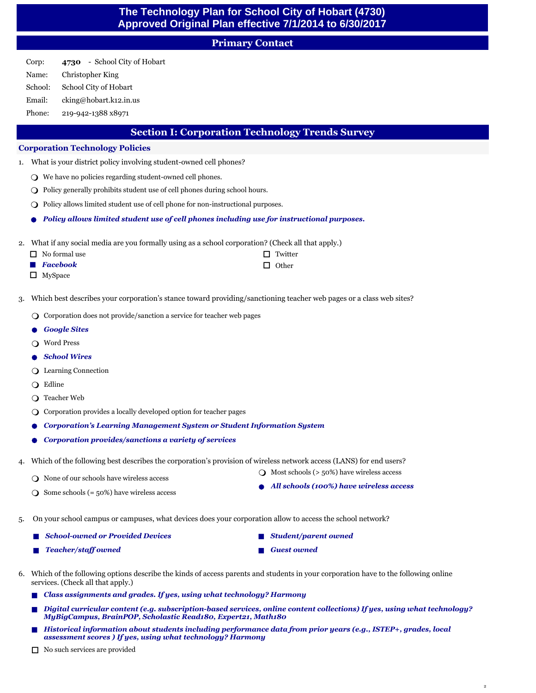# **The Technology Plan for School City of Hobart (4730) Approved Original Plan effective 7/1/2014 to 6/30/2017**

# **Primary Contact**

Corp: Name: School: **4730** - School City of Hobart Christopher King School City of Hobart

Email: cking@hobart.k12.in.us

Phone: 219-942-1388 x8971

# **Section I: Corporation Technology Trends Survey**

# **Corporation Technology Policies**

- What is your district policy involving student-owned cell phones? 1.
	- $\bigcirc$  We have no policies regarding student-owned cell phones.
	- $\bigcirc$  Policy generally prohibits student use of cell phones during school hours.
	- $\bigcirc$  Policy allows limited student use of cell phone for non-instructional purposes.
	- l *Policy allows limited student use of cell phones including use for instructional purposes.*
- What if any social media are you formally using as a school corporation? (Check all that apply.)  $\overline{2}$

| $\Box$ No formal use    | $\Box$ Twitter |
|-------------------------|----------------|
| $\blacksquare$ Facebook | $\Box$ Other   |
| $\blacksquare$          |                |

- $\Box$  MySpace
- Which best describes your corporation's stance toward providing/sanctioning teacher web pages or a class web sites? 3.
	- $\bigcirc$  Corporation does not provide/sanction a service for teacher web pages
	- l *Google Sites*
	- Word Press
	- l *School Wires*
	- $\bigcirc$  Learning Connection
	- $\bigcirc$  Edline
	- $\bigcirc$  Teacher Web
	- $\bigcirc$  Corporation provides a locally developed option for teacher pages
	- l *Corporation's Learning Management System or Student Information System*
	- l *Corporation provides/sanctions a variety of services*
- Which of the following best describes the corporation's provision of wireless network access (LANS) for end users? 4.
	- $\bigcirc$  None of our schools have wireless access

 $\bigcirc$  Most schools (> 50%) have wireless access l *All schools (100%) have wireless access*

2

**n** *Student/parent owned* 

**n** Guest owned

- $\bigcirc$  Some schools (= 50%) have wireless access
- On your school campus or campuses, what devices does your corporation allow to access the school network? 5.
	- n *School-owned or Provided Devices*
		- n *Teacher/staff owned*
- Which of the following options describe the kinds of access parents and students in your corporation have to the following online 6. services. (Check all that apply.)
	- n *Class assignments and grades. If yes, using what technology? Harmony*
	- n *Digital curricular content (e.g. subscription-based services, online content collections) If yes, using what technology? MyBigCampus, BrainPOP, Scholastic Read180, Expert21, Math180*
	- n *Historical information about students including performance data from prior years (e.g., ISTEP+, grades, local assessment scores ) If yes, using what technology? Harmony*
	- $\Box$  No such services are provided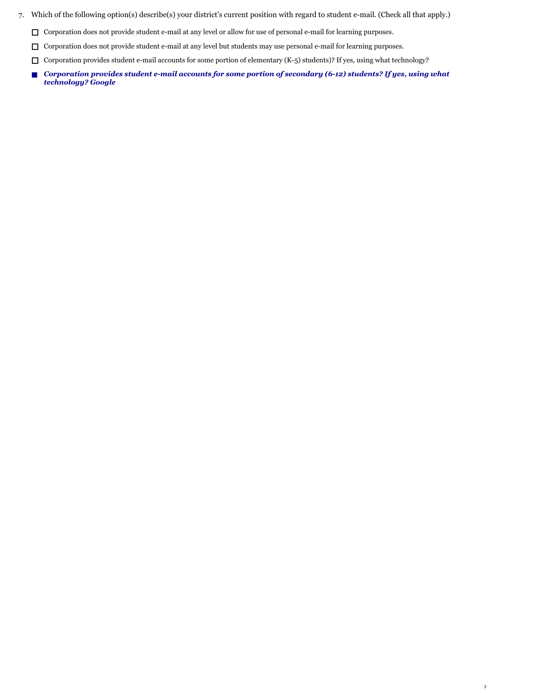- Which of the following option(s) describe(s) your district's current position with regard to student e-mail. (Check all that apply.) 7.
	- $\Box$  Corporation does not provide student e-mail at any level or allow for use of personal e-mail for learning purposes.
	- $\Box$  Corporation does not provide student e-mail at any level but students may use personal e-mail for learning purposes.
	- $\Box$  Corporation provides student e-mail accounts for some portion of elementary (K-5) students)? If yes, using what technology?
	- *Corporation provides student e-mail accounts for some portion of secondary (6-12) students? If yes, using what technology? Google*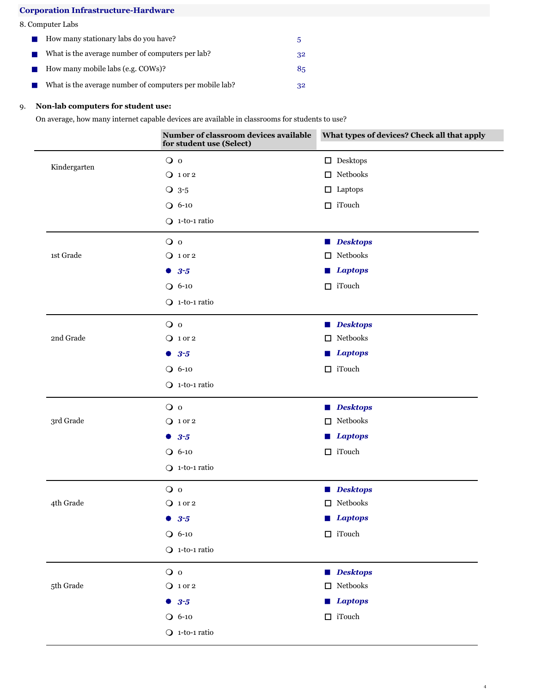# **Corporation Infrastructure-Hardware**

|  | 8. Computer Labs |
|--|------------------|
|--|------------------|

| <b>Contract</b>             | How many stationary labs do you have?                   | .h |
|-----------------------------|---------------------------------------------------------|----|
|                             | What is the average number of computers per lab?        | 32 |
| $\mathcal{L}_{\mathcal{A}}$ | How many mobile labs (e.g. COWs)?                       | 85 |
|                             | What is the average number of computers per mobile lab? | 32 |

# 9. **Non-lab computers for student use:**

On average, how many internet capable devices are available in classrooms for students to use?

|              | Number of classroom devices available<br>for student use (Select) | What types of devices? Check all that apply                                                                                              |
|--------------|-------------------------------------------------------------------|------------------------------------------------------------------------------------------------------------------------------------------|
|              | $\overline{O}$ 0                                                  | $\Box$ Desktops                                                                                                                          |
| Kindergarten | $Q$ 1 or 2                                                        | $\Box$ Netbooks                                                                                                                          |
|              | $O$ 3-5                                                           | $\Box$ Laptops                                                                                                                           |
|              | $Q$ 6-10                                                          | $\Box$ iTouch                                                                                                                            |
|              | $Q$ 1-to-1 ratio                                                  |                                                                                                                                          |
|              | $\overline{O}$ 0                                                  | <b>Desktops</b><br><b>The Contract of the Contract of the Contract of the Contract of the Contract of the Contract of the Contract o</b> |
| 1st Grade    | Q 1 or 2                                                          | $\Box$ Netbooks                                                                                                                          |
|              | • 3.5                                                             | <b>Laptops</b><br>a a shekara                                                                                                            |
|              | $O 6-10$                                                          | $\Box$ iTouch                                                                                                                            |
|              | $Q$ 1-to-1 ratio                                                  |                                                                                                                                          |
|              | $\overline{O}$ 0                                                  | <b>Desktops</b>                                                                                                                          |
| 2nd Grade    | $Q$ 1 or 2                                                        | Netbooks<br>$\Box$                                                                                                                       |
|              | • 3.5                                                             | <b>Laptops</b>                                                                                                                           |
|              | $Q$ 6-10                                                          | $\Box$ iTouch                                                                                                                            |
|              | $Q$ 1-to-1 ratio                                                  |                                                                                                                                          |
|              | $\overline{O}$ o                                                  | <b>Desktops</b>                                                                                                                          |
| 3rd Grade    | $Q$ 1 or 2                                                        | $\hfill\Box\thinspace$ Netbooks                                                                                                          |
|              | • 3.5                                                             | <b>Laptops</b>                                                                                                                           |
|              | $O 6-10$                                                          | $\Box$ iTouch                                                                                                                            |
|              | $Q$ 1-to-1 ratio                                                  |                                                                                                                                          |
|              | $\overline{O}$ 0                                                  | Desktops                                                                                                                                 |
| 4th Grade    | Q 1 or 2                                                          | $\hfill\Box\thinspace$ Netbooks                                                                                                          |
|              | $• 3-5$                                                           | <b>Laptops</b>                                                                                                                           |
|              | $O 6-10$                                                          | $\hfill\Box$ iTouch                                                                                                                      |
|              | $Q$ 1-to-1 ratio                                                  |                                                                                                                                          |
|              | $\overline{O}$ 0                                                  | Desktops                                                                                                                                 |
| 5th Grade    | $Q$ 1 or 2                                                        | $\hfill\Box$ Netbooks                                                                                                                    |
|              | • 3.5                                                             | <b>Laptops</b>                                                                                                                           |
|              | $O 6-10$                                                          | $\hfill\Box$ iTouch                                                                                                                      |
|              | $Q$ 1-to-1 ratio                                                  |                                                                                                                                          |
|              |                                                                   |                                                                                                                                          |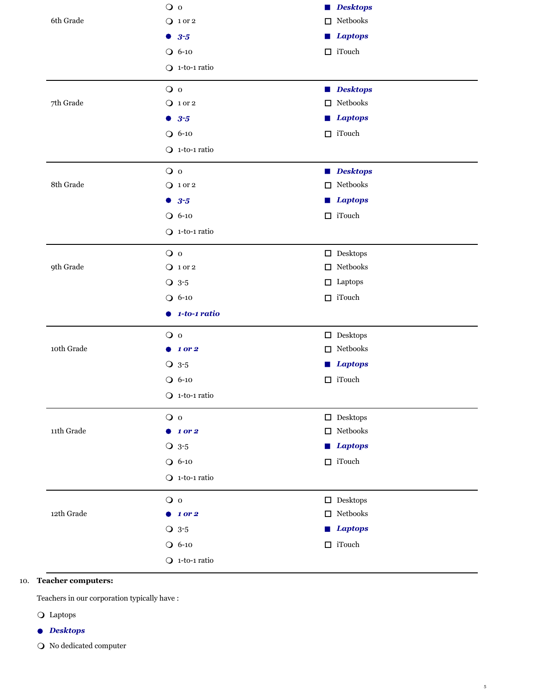|                     | $\overline{O}$ o       | <b>Desktops</b><br><b>STAR</b>                                                                                                          |
|---------------------|------------------------|-----------------------------------------------------------------------------------------------------------------------------------------|
| 6th Grade           | $Q$ 1 or 2             | Netbooks<br>□                                                                                                                           |
|                     | • 3.5                  | <b>Laptops</b><br><b>The Contract of the Contract of the Contract of the Contract of the Contract of the Contract of the Contract o</b> |
|                     | $O 6-10$               | $\Box$ iTouch                                                                                                                           |
|                     | $Q$ 1-to-1 ratio       |                                                                                                                                         |
|                     | $\overline{O}$ o       | <b>Desktops</b><br><b>Contract</b>                                                                                                      |
| 7th Grade           | $Q$ 1 or 2             | $\hfill\Box\,$ Netbooks                                                                                                                 |
|                     | • 3.5                  | <b>Laptops</b><br>a a s                                                                                                                 |
|                     | $O 6-10$               | $\Box$ iTouch                                                                                                                           |
|                     | $Q$ 1-to-1 ratio       |                                                                                                                                         |
|                     | $\overline{O}$ o       | <b>Desktops</b><br><b>College</b>                                                                                                       |
| 8th Grade           | $Q$ 1 or 2             | $\hfill\Box\thinspace$ Netbooks                                                                                                         |
|                     | • 3.5                  | <b>Laptops</b><br>L.                                                                                                                    |
|                     | $O 6-10$               | $\Box$ iTouch                                                                                                                           |
|                     | $Q$ 1-to-1 ratio       |                                                                                                                                         |
|                     | $\overline{O}$ o       | $\hfill\Box$ Desktops                                                                                                                   |
| 9th Grade           | $Q$ 1 or 2             | $\hfill\Box\,$ Netbooks                                                                                                                 |
|                     | $Q$ 3-5                | $\Box$ Laptops                                                                                                                          |
|                     | $O 6-10$               | $\Box$ iTouch                                                                                                                           |
|                     | $\bullet$ 1-to-1 ratio |                                                                                                                                         |
|                     | $\overline{O}$ 0       | $\hfill\Box$ Desktops                                                                                                                   |
| 10th Grade          | $\bullet$ 1 or 2       | $\hfill\Box\,$ Netbooks                                                                                                                 |
|                     | $Q$ 3-5                | <b>Laptops</b>                                                                                                                          |
|                     | $Q$ 6-10               | $\Box$ iTouch                                                                                                                           |
|                     | $Q$ 1-to-1 ratio       |                                                                                                                                         |
|                     | O <sub>0</sub>         | $\hfill\Box$ Desktops                                                                                                                   |
| $11\mbox{th}$ Grade | $\bullet$ 1 or 2       | $\hfill\Box\,$ Netbooks                                                                                                                 |
|                     | $O$ 3-5                | <b>Laptops</b>                                                                                                                          |
|                     | $O 6-10$               | $\Box$ iTouch                                                                                                                           |
|                     | $Q$ 1-to-1 ratio       |                                                                                                                                         |
|                     | $\overline{O}$ 0       | $\hfill\Box$ Desktops                                                                                                                   |
| 12th Grade          | 1 or 2<br>$\bullet$    | $\hfill\Box\,$ Netbooks                                                                                                                 |
|                     |                        |                                                                                                                                         |
|                     | $Q$ 3-5                | <b>Laptops</b>                                                                                                                          |
|                     | $O 6-10$               | $\Box$ iTouch                                                                                                                           |

# **Teacher computers:**  10.

Teachers in our corporation typically have :

- Q Laptops
- **l** *Desktops*
- $\bigcirc$  No dedicated computer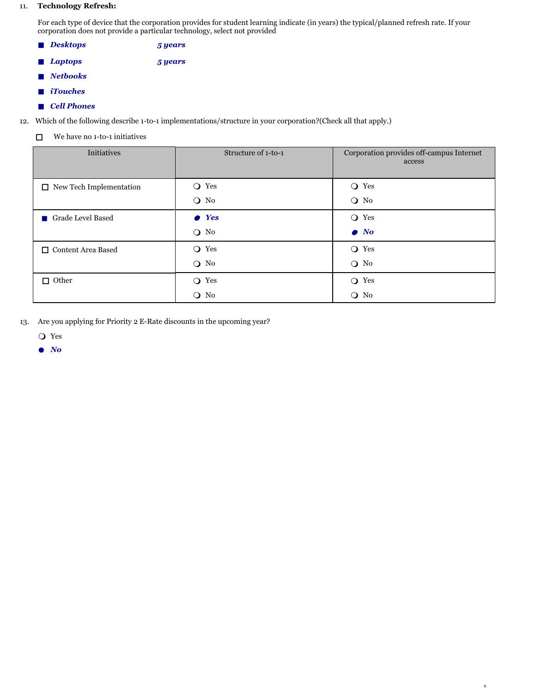# 11. **Technology Refresh:**

For each type of device that the corporation provides for student learning indicate (in years) the typical/planned refresh rate. If your corporation does not provide a particular technology, select not provided

- n *Desktops 5 years*
- n *Laptops 5 years*
- **n** *Netbooks*
- *iTouches*
- **n** *Cell Phones*

12. Which of the following describe 1-to-1 implementations/structure in your corporation?(Check all that apply.)

 $\Box$  We have no 1-to-1 initiatives

| Initiatives                    | Structure of 1-to-1 | Corporation provides off-campus Internet<br>access |
|--------------------------------|---------------------|----------------------------------------------------|
| $\Box$ New Tech Implementation | O Yes               | $\bigcirc$ Yes                                     |
|                                | $Q$ No              | $\bigcirc$ No                                      |
| Grade Level Based              | $\bullet$ Yes       | O Yes                                              |
|                                | $Q$ No              | $\bullet$ No                                       |
| □ Content Area Based           | O Yes               | $\bigcirc$ Yes                                     |
|                                | $\bigcirc$ No       | $Q$ No                                             |
| $\Box$ Other                   | Yes<br>$\Omega$     | $\bigcirc$ Yes                                     |
|                                | $\bigcirc$ No       | $\bigcirc$ No                                      |

6

Are you applying for Priority 2 E-Rate discounts in the upcoming year? 13.

 $Q$  Yes

**e** *No*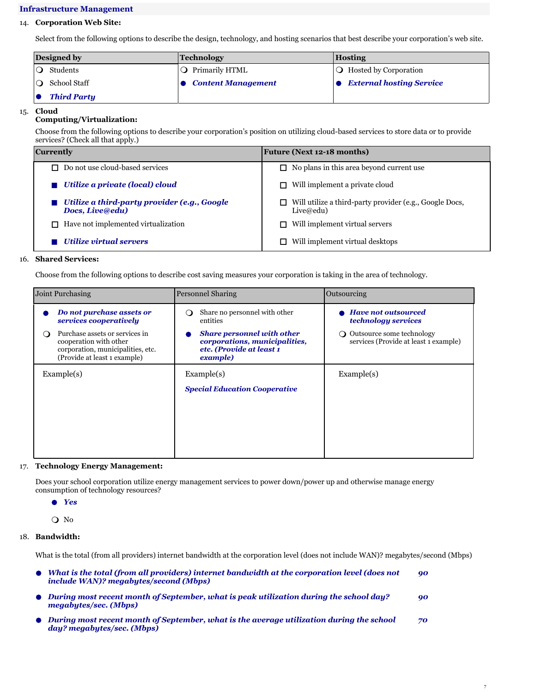# **Infrastructure Management**

# 14. **Corporation Web Site:**

Select from the following options to describe the design, technology, and hosting scenarios that best describe your corporation's web site.

| Designed by |                    | <b>Technology</b>         | Hosting                              |  |
|-------------|--------------------|---------------------------|--------------------------------------|--|
|             | Students           | O Primarily HTML          | $\overline{Q}$ Hosted by Corporation |  |
|             | School Staff       | <b>Content Management</b> | • External hosting Service           |  |
|             | <b>Third Party</b> |                           |                                      |  |

#### 15. **Cloud**

# **Computing/Virtualization:**

Choose from the following options to describe your corporation's position on utilizing cloud-based services to store data or to provide services? (Check all that apply.)

| Currently                                                       | <b>Future (Next 12-18 months)</b>                                    |  |  |
|-----------------------------------------------------------------|----------------------------------------------------------------------|--|--|
| $\Box$ Do not use cloud-based services                          | $\Box$ No plans in this area beyond current use                      |  |  |
| Utilize a private (local) cloud                                 | Will implement a private cloud                                       |  |  |
| Utilize a third-party provider (e.g., Google<br>Docs, Live@edu) | Will utilize a third-party provider (e.g., Google Docs,<br>Live@edu) |  |  |
| $\Box$ Have not implemented virtualization                      | Will implement virtual servers                                       |  |  |
| Utilize virtual servers                                         | Will implement virtual desktops                                      |  |  |

# 16. **Shared Services:**

Choose from the following options to describe cost saving measures your corporation is taking in the area of technology.

| Joint Purchasing |                                                                                                                               | <b>Personnel Sharing</b>                                                                                   | Outsourcing                                                             |
|------------------|-------------------------------------------------------------------------------------------------------------------------------|------------------------------------------------------------------------------------------------------------|-------------------------------------------------------------------------|
|                  | Do not purchase assets or<br>services cooperatively                                                                           | Share no personnel with other<br>$\left( \right)$<br>entities                                              | <b>Have not outsourced</b><br><i>technology services</i>                |
| $\Omega$         | Purchase assets or services in<br>cooperation with other<br>corporation, municipalities, etc.<br>(Provide at least 1 example) | <b>Share personnel with other</b><br>corporations, municipalities,<br>etc. (Provide at least 1<br>example) | Outsource some technology<br>∩<br>services (Provide at least 1 example) |
| Example(s)       |                                                                                                                               | Example(s)                                                                                                 | Example(s)                                                              |
|                  |                                                                                                                               | <b>Special Education Cooperative</b>                                                                       |                                                                         |
|                  |                                                                                                                               |                                                                                                            |                                                                         |
|                  |                                                                                                                               |                                                                                                            |                                                                         |
|                  |                                                                                                                               |                                                                                                            |                                                                         |
|                  |                                                                                                                               |                                                                                                            |                                                                         |

# 17. **Technology Energy Management:**

Does your school corporation utilize energy management services to power down/power up and otherwise manage energy consumption of technology resources?

l *Yes*

Q No

# 18. **Bandwidth:**

What is the total (from all providers) internet bandwidth at the corporation level (does not include WAN)? megabytes/second (Mbps)

| $\bullet$ What is the total (from all providers) internet bandwidth at the corporation level (does not<br>include WAN)? megabytes/second (Mbps) | 90 |  |
|-------------------------------------------------------------------------------------------------------------------------------------------------|----|--|
| $\bullet$ During most recent month of September, what is peak utilization during the school day?<br>megabutes/sec. (Mbps)                       | 90 |  |
| $\bullet$ During most recent month of September, what is the average utilization during the school<br>day? megabytes/sec. (Mbps)                | 70 |  |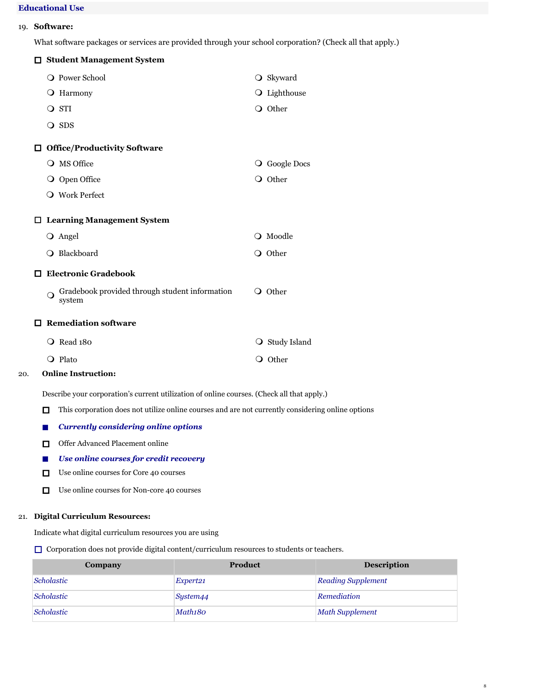# **Educational Use**

# 19. **Software:**

What software packages or services are provided through your school corporation? (Check all that apply.)

|   | □ Student Management System                                                                       |                |
|---|---------------------------------------------------------------------------------------------------|----------------|
|   | O Power School                                                                                    | O Skyward      |
|   | <b>O</b> Harmony                                                                                  | O Lighthouse   |
|   | O STI                                                                                             | O Other        |
|   | O SDS                                                                                             |                |
|   | $\Box$ Office/Productivity Software                                                               |                |
|   | O MS Office                                                                                       | O Google Docs  |
|   | O Open Office                                                                                     | O Other        |
|   | O Work Perfect                                                                                    |                |
|   | $\Box$ Learning Management System                                                                 |                |
|   | O Angel                                                                                           | O Moodle       |
|   | O Blackboard                                                                                      | O Other        |
|   | □ Electronic Gradebook                                                                            |                |
|   | Gradebook provided through student information<br>system                                          | O Other        |
|   | $\Box$ Remediation software                                                                       |                |
|   | O Read 180                                                                                        | ○ Study Island |
|   | O Plato                                                                                           | O Other        |
|   | <b>Online Instruction:</b>                                                                        |                |
|   | Describe your corporation's current utilization of online courses. (Check all that apply.)        |                |
| 0 | This corporation does not utilize online courses and are not currently considering online options |                |

- **n** *Currently considering online options*
- **O** Offer Advanced Placement online
- **n** *Use online courses for credit recovery*
- $\Box$  Use online courses for Core 40 courses
- $\Box$  Use online courses for Non-core 40 courses

# 21. **Digital Curriculum Resources:**

20. **Online Instruction:**

Indicate what digital curriculum resources you are using

 $\Box$  Corporation does not provide digital content/curriculum resources to students or teachers.

| Company    | Product              | <b>Description</b>        |
|------------|----------------------|---------------------------|
| Scholastic | Expert <sub>21</sub> | <b>Reading Supplement</b> |
| Scholastic | System44             | Remediation               |
| Scholastic | Math180              | <b>Math Supplement</b>    |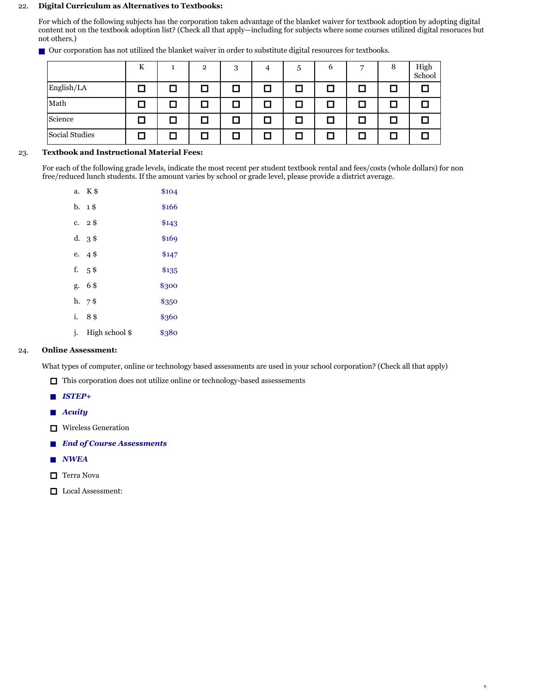# 22. **Digital Curriculum as Alternatives to Textbooks:**

For which of the following subjects has the corporation taken advantage of the blanket waiver for textbook adoption by adopting digital content not on the textbook adoption list? (Check all that apply—including for subjects where some courses utilized digital resoruces but not others.)

|  | ■ Our corporation has not utilized the blanket waiver in order to substitute digital resources for textbooks. |  |  |  |  |  |  |  |  |
|--|---------------------------------------------------------------------------------------------------------------|--|--|--|--|--|--|--|--|
|--|---------------------------------------------------------------------------------------------------------------|--|--|--|--|--|--|--|--|

|                | K |        | $\overline{2}$ | 3      | $\mathbf b$ | 6    | 7 | 8 | High<br>School |
|----------------|---|--------|----------------|--------|-------------|------|---|---|----------------|
| English/LA     | H | $\Box$ | l I            |        |             | n an | П |   |                |
| Math           | п | □      | □              | $\Box$ |             | П    | Ο | □ |                |
| Science        |   | L.     |                |        |             |      | П | ο |                |
| Social Studies |   | □      |                |        |             |      | □ | ם |                |

# 23. **Textbook and Instructional Material Fees:**

For each of the following grade levels, indicate the most recent per student textbook rental and fees/costs (whole dollars) for non free/reduced lunch students. If the amount varies by school or grade level, please provide a district average.

|    | a. K\$            | \$104 |
|----|-------------------|-------|
|    | b. 1\$            | \$166 |
|    | c. $2\frac{6}{9}$ | \$143 |
|    | $d. \, 3$ \$      | \$169 |
|    | e. $4\$$          | \$147 |
|    | f. $5$ \$         | \$135 |
|    | g. 6\$            | \$300 |
|    | $h. \, 7$ \$      | \$350 |
| i. | 8\$               | \$360 |
| j. | High school \$    | \$380 |

# 24. **Online Assessment:**

What types of computer, online or technology based assessments are used in your school corporation? (Check all that apply)

- $\Box$  This corporation does not utilize online or technology-based assessements
- n *ISTEP+*
- **n** *Acuity*
- $\Box$  Wireless Generation
- **n** *End of Course Assessments*
- n *NWEA*
- $\Box$  Terra Nova
- $\hfill\Box$  Local Assessment: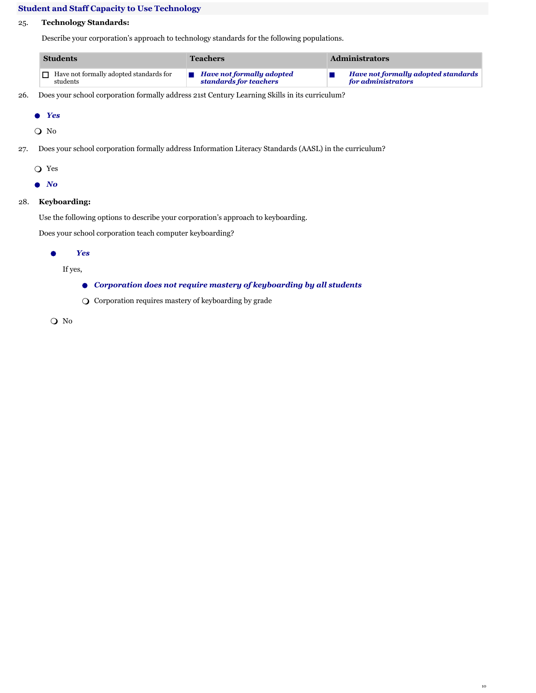# **Student and Staff Capacity to Use Technology**

# 25. **Technology Standards:**

Describe your corporation's approach to technology standards for the following populations.

| <b>Students</b> |                                                | Teachers                                 | <b>Administrators</b>               |  |  |
|-----------------|------------------------------------------------|------------------------------------------|-------------------------------------|--|--|
|                 | $\Box$ Have not formally adopted standards for | $\blacksquare$ Have not formally adopted | Have not formally adopted standards |  |  |
|                 | students                                       | standards for teachers                   | for administrators                  |  |  |

26. Does your school corporation formally address 21st Century Learning Skills in its curriculum?

```
l Yes
```
O No

27. Does your school corporation formally address Information Literacy Standards (AASL) in the curriculum?

 $\bigcirc$  Yes

l *No*

# 28. **Keyboarding:**

Use the following options to describe your corporation's approach to keyboarding.

Does your school corporation teach computer keyboarding?

l *Yes*

If yes,

- l *Corporation does not require mastery of keyboarding by all students*
- O Corporation requires mastery of keyboarding by grade

m No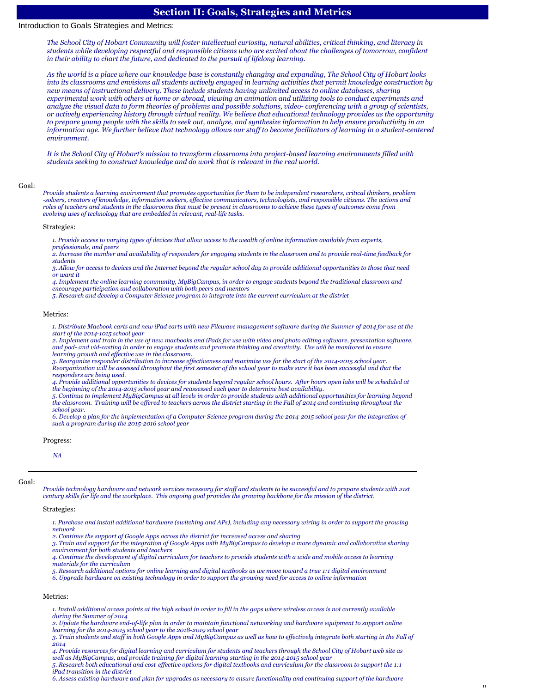# **Section II: Goals, Strategies and Metrics**

# Introduction to Goals Strategies and Metrics:

*The School City of Hobart Community will foster intellectual curiosity, natural abilities, critical thinking, and literacy in students while developing respectful and responsible citizens who are excited about the challenges of tomorrow, confident in their ability to chart the future, and dedicated to the pursuit of lifelong learning.* 

*As the world is a place where our knowledge base is constantly changing and expanding, The School City of Hobart looks into its classrooms and envisions all students actively engaged in learning activities that permit knowledge construction by new means of instructional delivery. These include students having unlimited access to online databases, sharing experimental work with others at home or abroad, viewing an animation and utilizing tools to conduct experiments and analyze the visual data to form theories of problems and possible solutions, video- conferencing with a group of scientists, or actively experiencing history through virtual reality. We believe that educational technology provides us the opportunity to prepare young people with the skills to seek out, analyze, and synthesize information to help ensure productivity in an information age. We further believe that technology allows our staff to become facilitators of learning in a student-centered environment.*

*It is the School City of Hobart's mission to transform classrooms into project-based learning environments filled with students seeking to construct knowledge and do work that is relevant in the real world.*

## Goal:

*Provide students a learning environment that promotes opportunities for them to be independent researchers, critical thinkers, problem -solvers, creators of knowledge, information seekers, effective communicators, technologists, and responsible citizens. The actions and roles of teachers and students in the classrooms that must be present in classrooms to achieve these types of outcomes come from evolving uses of technology that are embedded in relevant, real-life tasks.*

#### Strategies:

*1. Provide access to varying types of devices that allow access to the wealth of online information available from experts, professionals, and peers*

*2. Increase the number and availability of responders for engaging students in the classroom and to provide real-time feedback for students*

*3. Allow for access to devices and the Internet beyond the regular school day to provide additional opportunities to those that need or want it*

*4. Implement the online learning community, MyBigCampus, in order to engage students beyond the traditional classroom and* 

*encourage participation and collaboration with both peers and mentors*

*5. Research and develop a Computer Science program to integrate into the current curriculum at the district*

#### Metrics:

*1. Distribute Macbook carts and new iPad carts with new Filewave management software during the Summer of 2014 for use at the start of the 2014-1015 school year*

*2. Implement and train in the use of new macbooks and iPads for use with video and photo editing software, presentation software, and pod- and vid-casting in order to engage students and promote thinking and creativity. Use will be monitored to ensure learning growth and effective use in the classroom.*

*3. Reorganize responder distribution to increase effectiveness and maximize use for the start of the 2014-2015 school year. Reorganization will be assessed throughout the first semester of the school year to make sure it has been successful and that the responders are being used.*

4. Provide additional opportunities to devices for students beyond regular school hours. After hours open labs will be scheduled at<br>the beginning of the 2014-2015 school year and reassessed each year to determine best avai

5. Continue to implement MyBigCampus at all levels in order to provide students with additional opportunities for learning beyond<br>the classroom. Training will be offered to teachers across the district starting in the Fal *school year.*

*6. Develop a plan for the implementation of a Computer Science program during the 2014-2015 school year for the integration of such a program during the 2015-2016 school year*

### Progress:

*NA*

#### Goal:

*Provide technology hardware and network services necessary for staff and students to be successful and to prepare students with 21st century skills for life and the workplace. This ongoing goal provides the growing backbone for the mission of the district.*

### Strategies:

*1. Purchase and install additional hardware (switching and APs), including any necessary wiring in order to support the growing network*

*2. Continue the support of Google Apps across the district for increased access and sharing*

*3. Train and support for the integration of Google Apps with MyBigCampus to develop a more dynamic and collaborative sharing environment for both students and teachers*

*4. Continue the development of digital curriculum for teachers to provide students with a wide and mobile access to learning materials for the curriculum*

*5. Research additional options for online learning and digital textbooks as we move toward a true 1:1 digital environment*

*6. Upgrade hardware on existing technology in order to support the growing need for access to online information*

# Metrics:

*1. Install additional access points at the high school in order to fill in the gaps where wireless access is not currently available during the Summer of 2014*

*2. Update the hardware end-of-life plan in order to maintain functional networking and hardware equipment to support online learning for the 2014-2015 school year to the 2018-2019 school year*

*3. Train students and staff in both Google Apps and MyBigCampus as well as how to effectively integrate both starting in the Fall of 2014*

*4. Provide resources for digital learning and curriculum for students and teachers through the School City of Hobart web site as well as MyBigCampus, and provide training for digital learning starting in the 2014-2015 school year*

*5. Research both educational and cost-effective options for digital textbooks and curriculum for the classroom to support the 1:1 iPad transition in the district*

*6. Assess existing hardware and plan for upgrades as necessary to ensure functionality and continuing support of the hardware*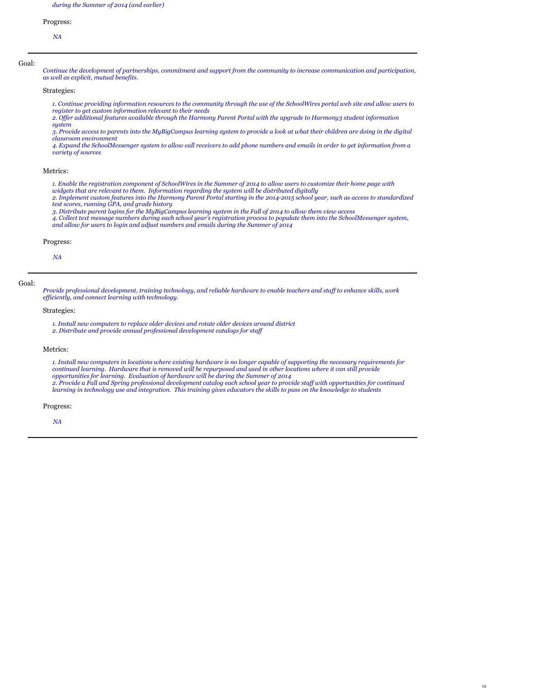*during the Summer of 2014 (and earlier)*

# Progress:

*NA*

## Goal:

*Continue the development of partnerships, commitment and support from the community to increase communication and participation, as well as explicit, mutual benefits.*

Strategies:

*1. Continue providing information resources to the community through the use of the SchoolWires portal web site and allow users to register to get custom information relevant to their needs*

*2. Offer additional features available through the Harmony Parent Portal with the upgrade to Harmony3 student information system*

*3. Provide access to parents into the MyBigCampus learning system to provide a look at what their children are doing in the digital classroom environment*

*4. Expand the SchoolMessenger system to allow call receivers to add phone numbers and emails in order to get information from a variety of sources*

# Metrics:

*1. Enable the registration component of SchoolWires in the Summer of 2014 to allow users to customize their home page with* 

widgets that are relevant to them. Information regarding the system will be distributed digitally<br>2. Implement custom features into the Harmony Parent Portal starting in the 2014-2015 school year, such as access to standa *test scores, running GPA, and grade history*

*3. Distribute parent logins for the MyBigCampus learning system in the Fall of 2014 to allow them view access*

4. Collect text message numbers during each school year's registration process to populate them into the SchoolMessenger system,<br>and allow for users to login and adjust numbers and emails during the Summer of 2014

### Progress:

*NA*

## Goal:

*Provide professional development, training technology, and reliable hardware to enable teachers and staff to enhance skills, work efficiently, and connect learning with technology.*

### Strategies:

*1. Install new computers to replace older devices and rotate older devices around district 2. Distribute and provide annual professional development catalogs for staff*

### Metrics:

*1. Install new computers in locations where existing hardware is no longer capable of supporting the necessary requirements for continued learning. Hardware that is removed will be repurposed and used in other locations where it can still provide opportunities for learning. Evaluation of hardware will be during the Summer of 2014 2. Provide a Fall and Spring professional development catalog each school year to provide staff with opportunities for continued learning in technology use and integration. This training gives educators the skills to pass on the knowledge to students*

#### Progress:

*NA*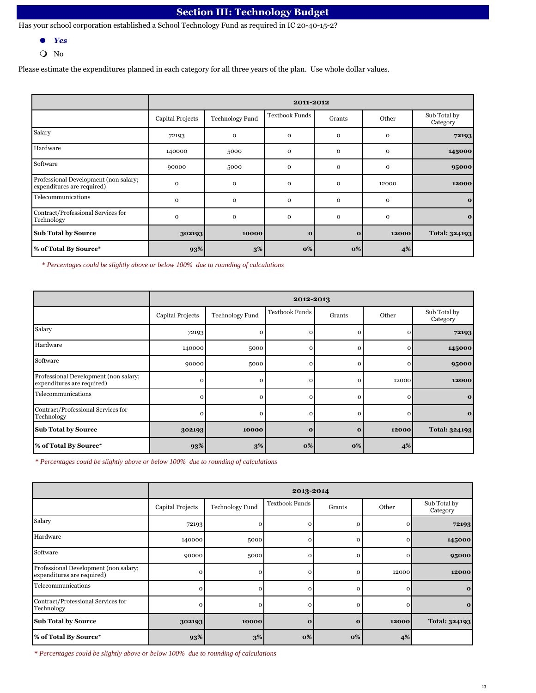# **Section III: Technology Budget**

Has your school corporation established a School Technology Fund as required in IC 20-40-15-2?

- l *Yes*
- $\bullet$  No

Please estimate the expenditures planned in each category for all three years of the plan. Use whole dollar values.

|                                                                     |                  | 2011-2012              |                       |              |              |                          |  |  |
|---------------------------------------------------------------------|------------------|------------------------|-----------------------|--------------|--------------|--------------------------|--|--|
|                                                                     | Capital Projects | <b>Technology Fund</b> | <b>Textbook Funds</b> | Grants       | Other        | Sub Total by<br>Category |  |  |
| Salary                                                              | 72193            | $\mathbf 0$            | $\mathbf 0$           | $\mathbf{O}$ | $\mathbf 0$  | 72193                    |  |  |
| Hardware                                                            | 140000           | 5000                   | $\mathbf 0$           | $\mathbf{O}$ | $\mathbf{O}$ | 145000                   |  |  |
| Software                                                            | 90000            | 5000                   | $\mathbf 0$           | $\mathbf 0$  | $\mathbf 0$  | 95000                    |  |  |
| Professional Development (non salary;<br>expenditures are required) | $\mathbf 0$      | $\mathbf 0$            | $\mathbf 0$           | $\mathbf{O}$ | 12000        | 12000                    |  |  |
| Telecommunications                                                  | $\mathbf 0$      | $\mathbf 0$            | $\mathbf 0$           | $\mathbf{O}$ | $\mathbf 0$  | $\mathbf{o}$             |  |  |
| Contract/Professional Services for<br>Technology                    | $\mathbf 0$      | $\mathbf 0$            | $\mathbf 0$           | $\mathbf{O}$ | $\mathbf{O}$ | $\mathbf{o}$             |  |  |
| <b>Sub Total by Source</b>                                          | 302193           | 10000                  | $\mathbf{o}$          | $\mathbf{o}$ | 12000        | <b>Total: 324193</b>     |  |  |
| % of Total By Source*                                               | 93%              | $3\%$                  | $\mathbf{O}\%$        | 0%           | 4%           |                          |  |  |

*\* Percentages could be slightly above or below 100% due to rounding of calculations*

|                                                                     |                         | 2012-2013              |                       |              |          |                          |  |  |
|---------------------------------------------------------------------|-------------------------|------------------------|-----------------------|--------------|----------|--------------------------|--|--|
|                                                                     | <b>Capital Projects</b> | <b>Technology Fund</b> | <b>Textbook Funds</b> | Grants       | Other    | Sub Total by<br>Category |  |  |
| Salary                                                              | 72193                   | $\mathbf{o}$           |                       | $\mathbf{o}$ | $\Omega$ | 72193                    |  |  |
| Hardware                                                            | 140000                  | 5000                   |                       | $\Omega$     | $\Omega$ | 145000                   |  |  |
| Software                                                            | 90000                   | 5000                   |                       | $\mathbf{o}$ | $\Omega$ | 95000                    |  |  |
| Professional Development (non salary;<br>expenditures are required) | 0                       | $\mathbf{o}$           | С                     | $\Omega$     | 12000    | 12000                    |  |  |
| Telecommunications                                                  | $\Omega$                | $\Omega$               |                       |              | $\Omega$ | $\mathbf{o}$             |  |  |
| Contract/Professional Services for<br>Technology                    | $\Omega$                | $\Omega$               |                       | $\Omega$     | $\Omega$ | $\mathbf{o}$             |  |  |
| <b>Sub Total by Source</b>                                          | 302193                  | 10000                  | $\Omega$              | $\mathbf{o}$ | 12000    | Total: 324193            |  |  |
| % of Total By Source*                                               | 93%                     | 3%                     | 0%                    | 0%           | 4%       |                          |  |  |

*\* Percentages could be slightly above or below 100% due to rounding of calculations*

|                                                                     |                         | 2013-2014              |                       |              |              |                          |  |  |
|---------------------------------------------------------------------|-------------------------|------------------------|-----------------------|--------------|--------------|--------------------------|--|--|
|                                                                     | <b>Capital Projects</b> | <b>Technology Fund</b> | <b>Textbook Funds</b> | Grants       | Other        | Sub Total by<br>Category |  |  |
| Salary                                                              | 72193                   | $\mathbf{o}$           |                       | Ω            | O            | 72193                    |  |  |
| Hardware                                                            | 140000                  | 5000                   |                       | $\mathbf 0$  | $\Omega$     | 145000                   |  |  |
| Software                                                            | 90000                   | 5000                   | O                     | $\mathbf{o}$ | $\mathbf{O}$ | 95000                    |  |  |
| Professional Development (non salary;<br>expenditures are required) | 0                       | $\mathbf 0$            | O                     | $\Omega$     | 12000        | 12000                    |  |  |
| Telecommunications                                                  | $\Omega$                | $\Omega$               |                       | O            | $\Omega$     | $\mathbf{o}$             |  |  |
| Contract/Professional Services for<br>Technology                    | $\mathbf{o}$            | $\Omega$               | r                     | $\Omega$     | $\Omega$     | $\mathbf{o}$             |  |  |
| <b>Sub Total by Source</b>                                          | 302193                  | 10000                  | $\Omega$              | $\mathbf{o}$ | 12000        | Total: 324193            |  |  |
| % of Total By Source*                                               | 93%                     | $3\%$                  | 0%                    | 0%           | 4%           |                          |  |  |

*\* Percentages could be slightly above or below 100% due to rounding of calculations*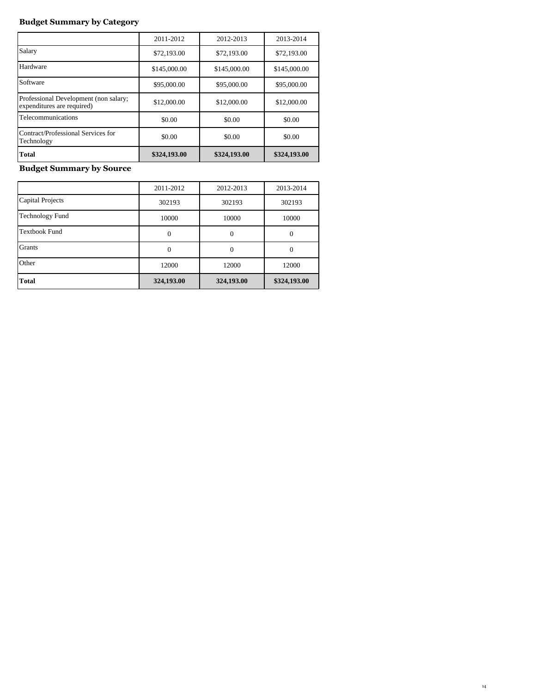# **Budget Summary by Category**

|                                                                     | 2011-2012    | 2012-2013    | 2013-2014    |
|---------------------------------------------------------------------|--------------|--------------|--------------|
| Salary                                                              | \$72,193,00  | \$72,193,00  | \$72,193.00  |
| Hardware                                                            | \$145,000.00 | \$145,000.00 | \$145,000.00 |
| Software                                                            | \$95,000.00  | \$95,000.00  | \$95,000.00  |
| Professional Development (non salary;<br>expenditures are required) | \$12,000.00  | \$12,000.00  | \$12,000.00  |
| Telecommunications                                                  | \$0.00       | \$0.00       | \$0.00       |
| Contract/Professional Services for<br>Technology                    | \$0.00       | \$0.00       | \$0.00       |
| Total                                                               | \$324,193.00 | \$324,193.00 | \$324,193.00 |

# **Budget Summary by Source**

|                         | 2011-2012  | 2012-2013  | 2013-2014    |
|-------------------------|------------|------------|--------------|
| <b>Capital Projects</b> | 302193     | 302193     | 302193       |
| <b>Technology Fund</b>  | 10000      | 10000      | 10000        |
| <b>Textbook Fund</b>    | $\Omega$   | $\Omega$   | 0            |
| Grants                  | $\Omega$   | 0          | 0            |
| Other                   | 12000      | 12000      | 12000        |
| <b>Total</b>            | 324,193.00 | 324,193.00 | \$324,193.00 |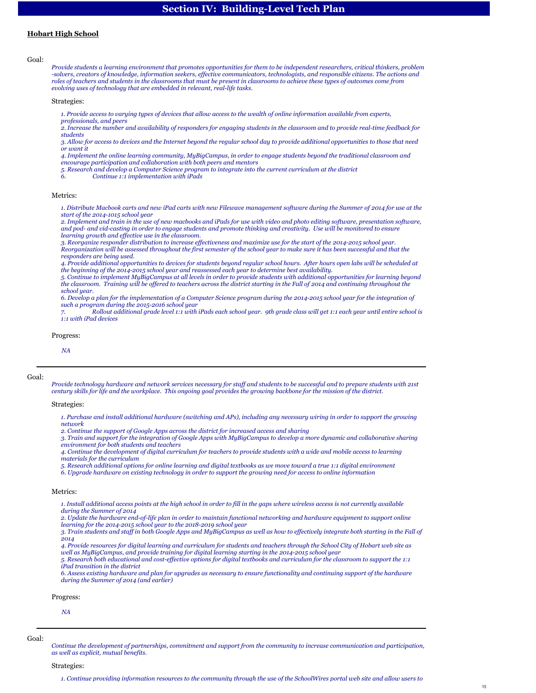# **Section IV: Building-Level Tech Plan**

# **Hobart High School**

Goal:

*Provide students a learning environment that promotes opportunities for them to be independent researchers, critical thinkers, problem -solvers, creators of knowledge, information seekers, effective communicators, technologists, and responsible citizens. The actions and roles of teachers and students in the classrooms that must be present in classrooms to achieve these types of outcomes come from evolving uses of technology that are embedded in relevant, real-life tasks.*

Strategies:

*1. Provide access to varying types of devices that allow access to the wealth of online information available from experts,* 

*professionals, and peers*

*2. Increase the number and availability of responders for engaging students in the classroom and to provide real-time feedback for students*

*3. Allow for access to devices and the Internet beyond the regular school day to provide additional opportunities to those that need or want it*

*4. Implement the online learning community, MyBigCampus, in order to engage students beyond the traditional classroom and encourage participation and collaboration with both peers and mentors*

*5. Research and develop a Computer Science program to integrate into the current curriculum at the district*

*6. Continue 1:1 implementation with iPads*

## Metrics:

*1. Distribute Macbook carts and new iPad carts with new Filewave management software during the Summer of 2014 for use at the start of the 2014-1015 school year*

*2. Implement and train in the use of new macbooks and iPads for use with video and photo editing software, presentation software, and pod- and vid-casting in order to engage students and promote thinking and creativity. Use will be monitored to ensure learning growth and effective use in the classroom.*

*3. Reorganize responder distribution to increase effectiveness and maximize use for the start of the 2014-2015 school year. Reorganization will be assessed throughout the first semester of the school year to make sure it has been successful and that the responders are being used.*

*4. Provide additional opportunities to devices for students beyond regular school hours. After hours open labs will be scheduled at the beginning of the 2014-2015 school year and reassessed each year to determine best availability.*

*5. Continue to implement MyBigCampus at all levels in order to provide students with additional opportunities for learning beyond the classroom. Training will be offered to teachers across the district starting in the Fall of 2014 and continuing throughout the school year.*

*6. Develop a plan for the implementation of a Computer Science program during the 2014-2015 school year for the integration of such a program during the 2015-2016 school year*

*7. Rollout additional grade level 1:1 with iPads each school year. 9th grade class will get 1:1 each year until entire school is 1:1 with iPad devices*

### Progress:

*NA*

### Goal:

*Provide technology hardware and network services necessary for staff and students to be successful and to prepare students with 21st century skills for life and the workplace. This ongoing goal provides the growing backbone for the mission of the district.*

Strategies:

*1. Purchase and install additional hardware (switching and APs), including any necessary wiring in order to support the growing network*

*2. Continue the support of Google Apps across the district for increased access and sharing*

*3. Train and support for the integration of Google Apps with MyBigCampus to develop a more dynamic and collaborative sharing environment for both students and teachers*

*4. Continue the development of digital curriculum for teachers to provide students with a wide and mobile access to learning materials for the curriculum*

- *5. Research additional options for online learning and digital textbooks as we move toward a true 1:1 digital environment*
- *6. Upgrade hardware on existing technology in order to support the growing need for access to online information*

#### Metrics:

*1. Install additional access points at the high school in order to fill in the gaps where wireless access is not currently available during the Summer of 2014*

*2. Update the hardware end-of-life plan in order to maintain functional networking and hardware equipment to support online learning for the 2014-2015 school year to the 2018-2019 school year*

*3. Train students and staff in both Google Apps and MyBigCampus as well as how to effectively integrate both starting in the Fall of 2014*

*4. Provide resources for digital learning and curriculum for students and teachers through the School City of Hobart web site as* 

*well as MyBigCampus, and provide training for digital learning starting in the 2014-2015 school year 5. Research both educational and cost-effective options for digital textbooks and curriculum for the classroom to support the 1:1 iPad transition in the district*

*6. Assess existing hardware and plan for upgrades as necessary to ensure functionality and continuing support of the hardware during the Summer of 2014 (and earlier)*

# Progress:

*NA*

Goal:

*Continue the development of partnerships, commitment and support from the community to increase communication and participation, as well as explicit, mutual benefits.*

### Strategies: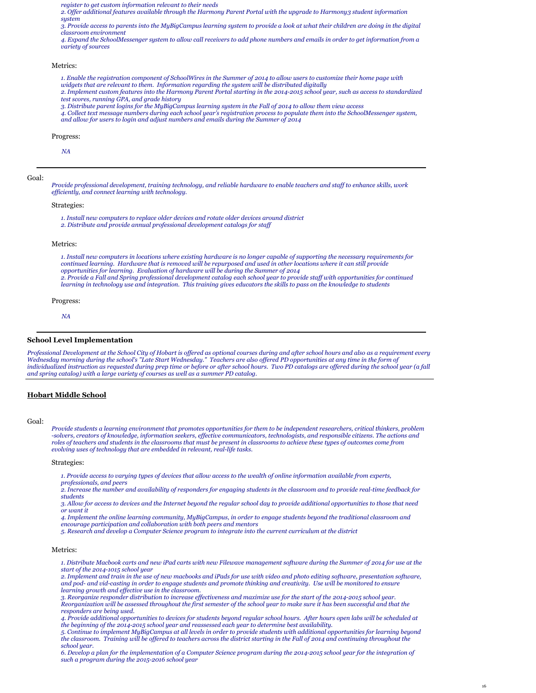*register to get custom information relevant to their needs*

*2. Offer additional features available through the Harmony Parent Portal with the upgrade to Harmony3 student information system*

*3. Provide access to parents into the MyBigCampus learning system to provide a look at what their children are doing in the digital classroom environment*

*4. Expand the SchoolMessenger system to allow call receivers to add phone numbers and emails in order to get information from a variety of sources*

# Metrics:

*1. Enable the registration component of SchoolWires in the Summer of 2014 to allow users to customize their home page with widgets that are relevant to them. Information regarding the system will be distributed digitally*

*2. Implement custom features into the Harmony Parent Portal starting in the 2014-2015 school year, such as access to standardized test scores, running GPA, and grade history*

*3. Distribute parent logins for the MyBigCampus learning system in the Fall of 2014 to allow them view access*

*4. Collect text message numbers during each school year's registration process to populate them into the SchoolMessenger system, and allow for users to login and adjust numbers and emails during the Summer of 2014*

#### Progress:

*NA*

### Goal:

*Provide professional development, training technology, and reliable hardware to enable teachers and staff to enhance skills, work efficiently, and connect learning with technology.*

# Strategies:

*1. Install new computers to replace older devices and rotate older devices around district*

*2. Distribute and provide annual professional development catalogs for staff*

### Metrics:

*1. Install new computers in locations where existing hardware is no longer capable of supporting the necessary requirements for continued learning. Hardware that is removed will be repurposed and used in other locations where it can still provide opportunities for learning. Evaluation of hardware will be during the Summer of 2014 2. Provide a Fall and Spring professional development catalog each school year to provide staff with opportunities for continued learning in technology use and integration. This training gives educators the skills to pass on the knowledge to students*

Progress:

*NA*

### **School Level Implementation**

*Professional Development at the School City of Hobart is offered as optional courses during and after school hours and also as a requirement every Wednesday morning during the school's "Late Start Wednesday." Teachers are also offered PD opportunities at any time in the form of individualized instruction as requested during prep time or before or after school hours. Two PD catalogs are offered during the school year (a fall and spring catalog) with a large variety of courses as well as a summer PD catalog.*

# **Hobart Middle School**

## Goal:

*Provide students a learning environment that promotes opportunities for them to be independent researchers, critical thinkers, problem -solvers, creators of knowledge, information seekers, effective communicators, technologists, and responsible citizens. The actions and roles of teachers and students in the classrooms that must be present in classrooms to achieve these types of outcomes come from evolving uses of technology that are embedded in relevant, real-life tasks.*

Strategies:

*1. Provide access to varying types of devices that allow access to the wealth of online information available from experts, professionals, and peers*

*2. Increase the number and availability of responders for engaging students in the classroom and to provide real-time feedback for students*

*3. Allow for access to devices and the Internet beyond the regular school day to provide additional opportunities to those that need or want it*

*4. Implement the online learning community, MyBigCampus, in order to engage students beyond the traditional classroom and encourage participation and collaboration with both peers and mentors*

*5. Research and develop a Computer Science program to integrate into the current curriculum at the district*

#### Metrics:

*1. Distribute Macbook carts and new iPad carts with new Filewave management software during the Summer of 2014 for use at the start of the 2014-1015 school year*

*2. Implement and train in the use of new macbooks and iPads for use with video and photo editing software, presentation software, and pod- and vid-casting in order to engage students and promote thinking and creativity. Use will be monitored to ensure learning growth and effective use in the classroom.*

*3. Reorganize responder distribution to increase effectiveness and maximize use for the start of the 2014-2015 school year. Reorganization will be assessed throughout the first semester of the school year to make sure it has been successful and that the responders are being used.*

*4. Provide additional opportunities to devices for students beyond regular school hours. After hours open labs will be scheduled at the beginning of the 2014-2015 school year and reassessed each year to determine best availability.*

*5. Continue to implement MyBigCampus at all levels in order to provide students with additional opportunities for learning beyond the classroom. Training will be offered to teachers across the district starting in the Fall of 2014 and continuing throughout the school year.*

*6. Develop a plan for the implementation of a Computer Science program during the 2014-2015 school year for the integration of such a program during the 2015-2016 school year*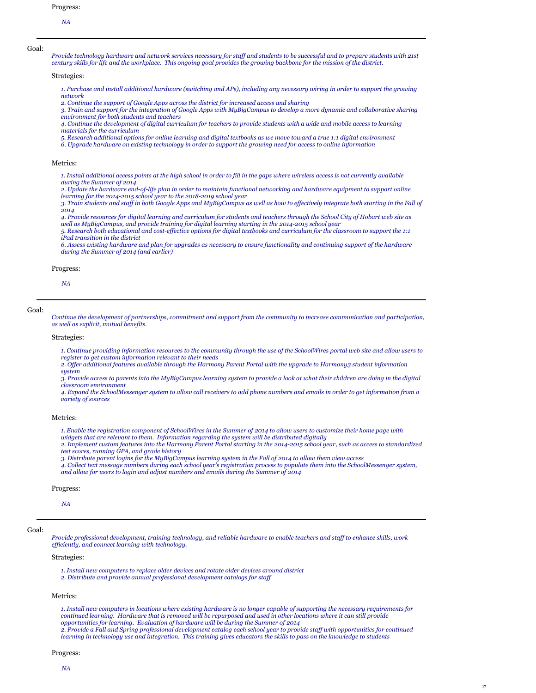*Provide technology hardware and network services necessary for staff and students to be successful and to prepare students with 21st century skills for life and the workplace. This ongoing goal provides the growing backbone for the mission of the district.*

Strategies:

*1. Purchase and install additional hardware (switching and APs), including any necessary wiring in order to support the growing network*

2. Continue the support of Google Apps across the district for increased access and sharing<br>3. Train and support for the integration of Google Apps with MyBigCampus to develop a more dynamic and collaborative sharing *environment for both students and teachers*

*4. Continue the development of digital curriculum for teachers to provide students with a wide and mobile access to learning materials for the curriculum*

*5. Research additional options for online learning and digital textbooks as we move toward a true 1:1 digital environment 6. Upgrade hardware on existing technology in order to support the growing need for access to online information*

#### Metrics:

*1. Install additional access points at the high school in order to fill in the gaps where wireless access is not currently available during the Summer of 2014*

*2. Update the hardware end-of-life plan in order to maintain functional networking and hardware equipment to support online learning for the 2014-2015 school year to the 2018-2019 school year*

*3. Train students and staff in both Google Apps and MyBigCampus as well as how to effectively integrate both starting in the Fall of 2014*

*4. Provide resources for digital learning and curriculum for students and teachers through the School City of Hobart web site as well as MyBigCampus, and provide training for digital learning starting in the 2014-2015 school year*

*5. Research both educational and cost-effective options for digital textbooks and curriculum for the classroom to support the 1:1 iPad transition in the district*

*6. Assess existing hardware and plan for upgrades as necessary to ensure functionality and continuing support of the hardware during the Summer of 2014 (and earlier)*

### Progress:

*NA*

### Goal:

*Continue the development of partnerships, commitment and support from the community to increase communication and participation, as well as explicit, mutual benefits.*

# Strategies:

*1. Continue providing information resources to the community through the use of the SchoolWires portal web site and allow users to register to get custom information relevant to their needs*

*2. Offer additional features available through the Harmony Parent Portal with the upgrade to Harmony3 student information system*

*3. Provide access to parents into the MyBigCampus learning system to provide a look at what their children are doing in the digital classroom environment*

*4. Expand the SchoolMessenger system to allow call receivers to add phone numbers and emails in order to get information from a variety of sources*

### Metrics:

*1. Enable the registration component of SchoolWires in the Summer of 2014 to allow users to customize their home page with widgets that are relevant to them. Information regarding the system will be distributed digitally*

*2. Implement custom features into the Harmony Parent Portal starting in the 2014-2015 school year, such as access to standardized test scores, running GPA, and grade history*

*3. Distribute parent logins for the MyBigCampus learning system in the Fall of 2014 to allow them view access*

*4. Collect text message numbers during each school year's registration process to populate them into the SchoolMessenger system, and allow for users to login and adjust numbers and emails during the Summer of 2014*

### Progress:

*NA*

# Goal:

*Provide professional development, training technology, and reliable hardware to enable teachers and staff to enhance skills, work efficiently, and connect learning with technology.*

# Strategies:

*1. Install new computers to replace older devices and rotate older devices around district*

*2. Distribute and provide annual professional development catalogs for staff*

# Metrics:

*1. Install new computers in locations where existing hardware is no longer capable of supporting the necessary requirements for continued learning. Hardware that is removed will be repurposed and used in other locations where it can still provide opportunities for learning. Evaluation of hardware will be during the Summer of 2014 2. Provide a Fall and Spring professional development catalog each school year to provide staff with opportunities for continued learning in technology use and integration. This training gives educators the skills to pass on the knowledge to students*

### Progress: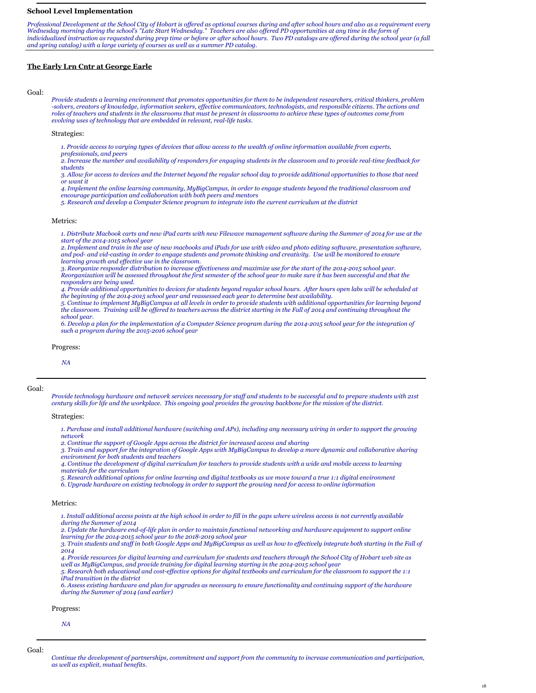# **School Level Implementation**

Professional Development at the School City of Hobart is offered as optional courses during and after school hours and also as a requirement every<br>Wednesday morning during the school's "Late Start Wednesday." Teachers are *and spring catalog) with a large variety of courses as well as a summer PD catalog.*

# **The Early Lrn Cntr at George Earle**

### Goal:

Provide students a learning environment that promotes opportunities for them to be independent researchers, critical thinkers, problem<br>-solvers, creators of knowledge, information seekers, effective communicators, technolo *roles of teachers and students in the classrooms that must be present in classrooms to achieve these types of outcomes come from evolving uses of technology that are embedded in relevant, real-life tasks.*

## Strategies:

*1. Provide access to varying types of devices that allow access to the wealth of online information available from experts,* 

*professionals, and peers*

*2. Increase the number and availability of responders for engaging students in the classroom and to provide real-time feedback for students*

*3. Allow for access to devices and the Internet beyond the regular school day to provide additional opportunities to those that need or want it*

*4. Implement the online learning community, MyBigCampus, in order to engage students beyond the traditional classroom and encourage participation and collaboration with both peers and mentors*

*5. Research and develop a Computer Science program to integrate into the current curriculum at the district*

#### Metrics:

*1. Distribute Macbook carts and new iPad carts with new Filewave management software during the Summer of 2014 for use at the start of the 2014-1015 school year*

*2. Implement and train in the use of new macbooks and iPads for use with video and photo editing software, presentation software, and pod- and vid-casting in order to engage students and promote thinking and creativity. Use will be monitored to ensure learning growth and effective use in the classroom.*

*3. Reorganize responder distribution to increase effectiveness and maximize use for the start of the 2014-2015 school year. Reorganization will be assessed throughout the first semester of the school year to make sure it has been successful and that the responders are being used.*

*4. Provide additional opportunities to devices for students beyond regular school hours. After hours open labs will be scheduled at the beginning of the 2014-2015 school year and reassessed each year to determine best availability.*

5. Continue to implement MyBigCampus at all levels in order to provide students with additional opportunities for learning beyond<br>the classroom. Training will be offered to teachers across the district starting in the Fal *school year.*

*6. Develop a plan for the implementation of a Computer Science program during the 2014-2015 school year for the integration of such a program during the 2015-2016 school year*

Progress:

*NA*

Goal:

*Provide technology hardware and network services necessary for staff and students to be successful and to prepare students with 21st century skills for life and the workplace. This ongoing goal provides the growing backbone for the mission of the district.*

#### Strategies:

*1. Purchase and install additional hardware (switching and APs), including any necessary wiring in order to support the growing network*

*2. Continue the support of Google Apps across the district for increased access and sharing*

*3. Train and support for the integration of Google Apps with MyBigCampus to develop a more dynamic and collaborative sharing environment for both students and teachers*

*4. Continue the development of digital curriculum for teachers to provide students with a wide and mobile access to learning materials for the curriculum*

*5. Research additional options for online learning and digital textbooks as we move toward a true 1:1 digital environment*

*6. Upgrade hardware on existing technology in order to support the growing need for access to online information*

# Metrics:

*1. Install additional access points at the high school in order to fill in the gaps where wireless access is not currently available during the Summer of 2014*

*2. Update the hardware end-of-life plan in order to maintain functional networking and hardware equipment to support online learning for the 2014-2015 school year to the 2018-2019 school year*

*3. Train students and staff in both Google Apps and MyBigCampus as well as how to effectively integrate both starting in the Fall of 2014*

*4. Provide resources for digital learning and curriculum for students and teachers through the School City of Hobart web site as well as MyBigCampus, and provide training for digital learning starting in the 2014-2015 school year*

*5. Research both educational and cost-effective options for digital textbooks and curriculum for the classroom to support the 1:1 iPad transition in the district*

*6. Assess existing hardware and plan for upgrades as necessary to ensure functionality and continuing support of the hardware during the Summer of 2014 (and earlier)*

Progress:

*NA*

Goal:

*Continue the development of partnerships, commitment and support from the community to increase communication and participation, as well as explicit, mutual benefits.*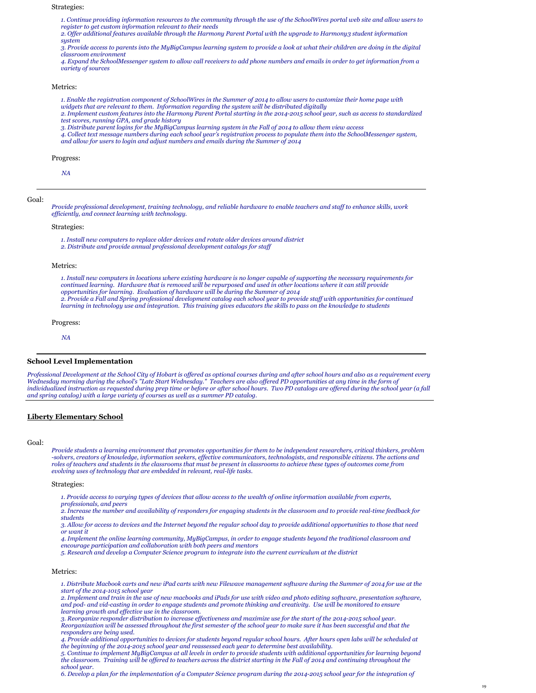### Strategies:

*1. Continue providing information resources to the community through the use of the SchoolWires portal web site and allow users to register to get custom information relevant to their needs*

*2. Offer additional features available through the Harmony Parent Portal with the upgrade to Harmony3 student information system*

*3. Provide access to parents into the MyBigCampus learning system to provide a look at what their children are doing in the digital classroom environment*

*4. Expand the SchoolMessenger system to allow call receivers to add phone numbers and emails in order to get information from a variety of sources*

### Metrics:

- *1. Enable the registration component of SchoolWires in the Summer of 2014 to allow users to customize their home page with widgets that are relevant to them. Information regarding the system will be distributed digitally*
- *2. Implement custom features into the Harmony Parent Portal starting in the 2014-2015 school year, such as access to standardized test scores, running GPA, and grade history*
- 
- *3. Distribute parent logins for the MyBigCampus learning system in the Fall of 2014 to allow them view access 4. Collect text message numbers during each school year's registration process to populate them into the SchoolMessenger system,*
- *and allow for users to login and adjust numbers and emails during the Summer of 2014*

## Progress:

*NA*

#### Goal:

*Provide professional development, training technology, and reliable hardware to enable teachers and staff to enhance skills, work efficiently, and connect learning with technology.*

#### Strategies:

*1. Install new computers to replace older devices and rotate older devices around district 2. Distribute and provide annual professional development catalogs for staff*

## Metrics:

*1. Install new computers in locations where existing hardware is no longer capable of supporting the necessary requirements for continued learning. Hardware that is removed will be repurposed and used in other locations where it can still provide opportunities for learning. Evaluation of hardware will be during the Summer of 2014 2. Provide a Fall and Spring professional development catalog each school year to provide staff with opportunities for continued learning in technology use and integration. This training gives educators the skills to pass on the knowledge to students*

Progress:

*NA*

### **School Level Implementation**

*Professional Development at the School City of Hobart is offered as optional courses during and after school hours and also as a requirement every Wednesday morning during the school's "Late Start Wednesday." Teachers are also offered PD opportunities at any time in the form of individualized instruction as requested during prep time or before or after school hours. Two PD catalogs are offered during the school year (a fall and spring catalog) with a large variety of courses as well as a summer PD catalog.*

### **Liberty Elementary School**

Goal:

*Provide students a learning environment that promotes opportunities for them to be independent researchers, critical thinkers, problem -solvers, creators of knowledge, information seekers, effective communicators, technologists, and responsible citizens. The actions and roles of teachers and students in the classrooms that must be present in classrooms to achieve these types of outcomes come from evolving uses of technology that are embedded in relevant, real-life tasks.*

Strategies:

*1. Provide access to varying types of devices that allow access to the wealth of online information available from experts, professionals, and peers*

*2. Increase the number and availability of responders for engaging students in the classroom and to provide real-time feedback for students*

*3. Allow for access to devices and the Internet beyond the regular school day to provide additional opportunities to those that need or want it*

*4. Implement the online learning community, MyBigCampus, in order to engage students beyond the traditional classroom and encourage participation and collaboration with both peers and mentors*

*5. Research and develop a Computer Science program to integrate into the current curriculum at the district*

# Metrics:

*1. Distribute Macbook carts and new iPad carts with new Filewave management software during the Summer of 2014 for use at the start of the 2014-1015 school year*

*2. Implement and train in the use of new macbooks and iPads for use with video and photo editing software, presentation software, and pod- and vid-casting in order to engage students and promote thinking and creativity. Use will be monitored to ensure learning growth and effective use in the classroom.*

*3. Reorganize responder distribution to increase effectiveness and maximize use for the start of the 2014-2015 school year. Reorganization will be assessed throughout the first semester of the school year to make sure it has been successful and that the responders are being used.*

*4. Provide additional opportunities to devices for students beyond regular school hours. After hours open labs will be scheduled at the beginning of the 2014-2015 school year and reassessed each year to determine best availability.*

*5. Continue to implement MyBigCampus at all levels in order to provide students with additional opportunities for learning beyond the classroom. Training will be offered to teachers across the district starting in the Fall of 2014 and continuing throughout the school year.*

*6. Develop a plan for the implementation of a Computer Science program during the 2014-2015 school year for the integration of*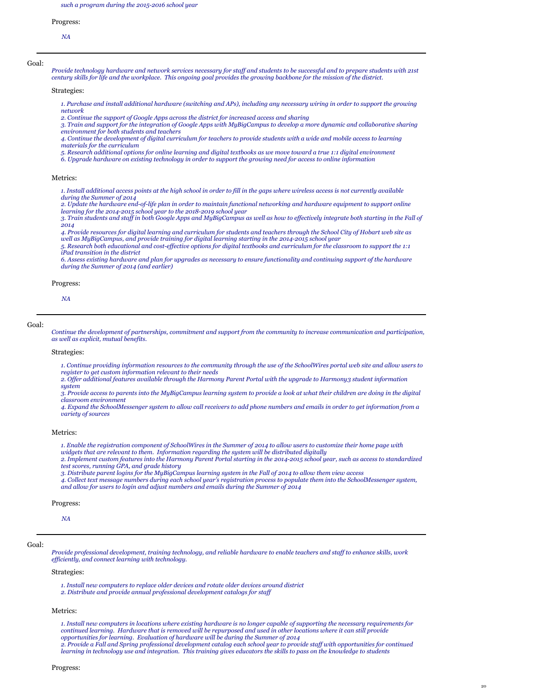Progress:

*NA*

Goal:

*Provide technology hardware and network services necessary for staff and students to be successful and to prepare students with 21st century skills for life and the workplace. This ongoing goal provides the growing backbone for the mission of the district.*

Strategies:

*1. Purchase and install additional hardware (switching and APs), including any necessary wiring in order to support the growing network*

*2. Continue the support of Google Apps across the district for increased access and sharing*

- *3. Train and support for the integration of Google Apps with MyBigCampus to develop a more dynamic and collaborative sharing environment for both students and teachers*
- *4. Continue the development of digital curriculum for teachers to provide students with a wide and mobile access to learning materials for the curriculum*

*5. Research additional options for online learning and digital textbooks as we move toward a true 1:1 digital environment*

*6. Upgrade hardware on existing technology in order to support the growing need for access to online information*

# Metrics:

*1. Install additional access points at the high school in order to fill in the gaps where wireless access is not currently available during the Summer of 2014*

*2. Update the hardware end-of-life plan in order to maintain functional networking and hardware equipment to support online learning for the 2014-2015 school year to the 2018-2019 school year*

*3. Train students and staff in both Google Apps and MyBigCampus as well as how to effectively integrate both starting in the Fall of 2014*

4. Provide resources for digital learning and curriculum for students and teachers through the School City of Hobart web site as<br>well as MyBigCampus, and provide training for digital learning starting in the 2014-2015 scho

*5. Research both educational and cost-effective options for digital textbooks and curriculum for the classroom to support the 1:1 iPad transition in the district*

*6. Assess existing hardware and plan for upgrades as necessary to ensure functionality and continuing support of the hardware during the Summer of 2014 (and earlier)*

### Progress:

*NA*

Goal:

*Continue the development of partnerships, commitment and support from the community to increase communication and participation, as well as explicit, mutual benefits.*

### Strategies:

*1. Continue providing information resources to the community through the use of the SchoolWires portal web site and allow users to register to get custom information relevant to their needs*

*2. Offer additional features available through the Harmony Parent Portal with the upgrade to Harmony3 student information system*

*3. Provide access to parents into the MyBigCampus learning system to provide a look at what their children are doing in the digital classroom environment*

*4. Expand the SchoolMessenger system to allow call receivers to add phone numbers and emails in order to get information from a variety of sources*

# Metrics:

- *1. Enable the registration component of SchoolWires in the Summer of 2014 to allow users to customize their home page with widgets that are relevant to them. Information regarding the system will be distributed digitally*
- *2. Implement custom features into the Harmony Parent Portal starting in the 2014-2015 school year, such as access to standardized test scores, running GPA, and grade history*
- *3. Distribute parent logins for the MyBigCampus learning system in the Fall of 2014 to allow them view access*
- *4. Collect text message numbers during each school year's registration process to populate them into the SchoolMessenger system, and allow for users to login and adjust numbers and emails during the Summer of 2014*

### Progress:

*NA*

# Goal:

*Provide professional development, training technology, and reliable hardware to enable teachers and staff to enhance skills, work efficiently, and connect learning with technology.*

### Strategies:

*1. Install new computers to replace older devices and rotate older devices around district*

*2. Distribute and provide annual professional development catalogs for staff*

### Metrics:

*1. Install new computers in locations where existing hardware is no longer capable of supporting the necessary requirements for continued learning. Hardware that is removed will be repurposed and used in other locations where it can still provide opportunities for learning. Evaluation of hardware will be during the Summer of 2014 2. Provide a Fall and Spring professional development catalog each school year to provide staff with opportunities for continued learning in technology use and integration. This training gives educators the skills to pass on the knowledge to students*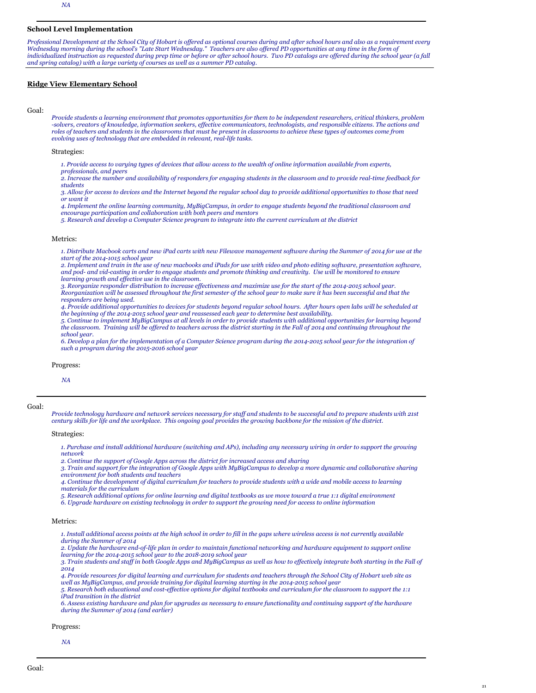# **School Level Implementation**

*Professional Development at the School City of Hobart is offered as optional courses during and after school hours and also as a requirement every Wednesday morning during the school's "Late Start Wednesday." Teachers are also offered PD opportunities at any time in the form of individualized instruction as requested during prep time or before or after school hours. Two PD catalogs are offered during the school year (a fall and spring catalog) with a large variety of courses as well as a summer PD catalog.*

# **Ridge View Elementary School**

### Goal:

*Provide students a learning environment that promotes opportunities for them to be independent researchers, critical thinkers, problem -solvers, creators of knowledge, information seekers, effective communicators, technologists, and responsible citizens. The actions and roles of teachers and students in the classrooms that must be present in classrooms to achieve these types of outcomes come from evolving uses of technology that are embedded in relevant, real-life tasks.*

### Strategies:

*1. Provide access to varying types of devices that allow access to the wealth of online information available from experts,* 

*professionals, and peers*

*2. Increase the number and availability of responders for engaging students in the classroom and to provide real-time feedback for students*

*3. Allow for access to devices and the Internet beyond the regular school day to provide additional opportunities to those that need or want it*

*4. Implement the online learning community, MyBigCampus, in order to engage students beyond the traditional classroom and encourage participation and collaboration with both peers and mentors*

*5. Research and develop a Computer Science program to integrate into the current curriculum at the district*

### Metrics:

*1. Distribute Macbook carts and new iPad carts with new Filewave management software during the Summer of 2014 for use at the start of the 2014-1015 school year*

*2. Implement and train in the use of new macbooks and iPads for use with video and photo editing software, presentation software, and pod- and vid-casting in order to engage students and promote thinking and creativity. Use will be monitored to ensure learning growth and effective use in the classroom.*

*3. Reorganize responder distribution to increase effectiveness and maximize use for the start of the 2014-2015 school year. Reorganization will be assessed throughout the first semester of the school year to make sure it has been successful and that the responders are being used.*

*4. Provide additional opportunities to devices for students beyond regular school hours. After hours open labs will be scheduled at the beginning of the 2014-2015 school year and reassessed each year to determine best availability.*

*5. Continue to implement MyBigCampus at all levels in order to provide students with additional opportunities for learning beyond the classroom. Training will be offered to teachers across the district starting in the Fall of 2014 and continuing throughout the school year.*

*6. Develop a plan for the implementation of a Computer Science program during the 2014-2015 school year for the integration of such a program during the 2015-2016 school year*

### Progress:

*NA*

#### Goal:

*Provide technology hardware and network services necessary for staff and students to be successful and to prepare students with 21st century skills for life and the workplace. This ongoing goal provides the growing backbone for the mission of the district.*

Strategies:

*1. Purchase and install additional hardware (switching and APs), including any necessary wiring in order to support the growing network*

*2. Continue the support of Google Apps across the district for increased access and sharing*

*3. Train and support for the integration of Google Apps with MyBigCampus to develop a more dynamic and collaborative sharing environment for both students and teachers*

*4. Continue the development of digital curriculum for teachers to provide students with a wide and mobile access to learning materials for the curriculum*

- *5. Research additional options for online learning and digital textbooks as we move toward a true 1:1 digital environment*
- *6. Upgrade hardware on existing technology in order to support the growing need for access to online information*

# Metrics:

*1. Install additional access points at the high school in order to fill in the gaps where wireless access is not currently available during the Summer of 2014*

*2. Update the hardware end-of-life plan in order to maintain functional networking and hardware equipment to support online learning for the 2014-2015 school year to the 2018-2019 school year*

*3. Train students and staff in both Google Apps and MyBigCampus as well as how to effectively integrate both starting in the Fall of 2014*

*4. Provide resources for digital learning and curriculum for students and teachers through the School City of Hobart web site as well as MyBigCampus, and provide training for digital learning starting in the 2014-2015 school year*

*5. Research both educational and cost-effective options for digital textbooks and curriculum for the classroom to support the 1:1 iPad transition in the district*

*6. Assess existing hardware and plan for upgrades as necessary to ensure functionality and continuing support of the hardware during the Summer of 2014 (and earlier)*

#### Progress:

*NA*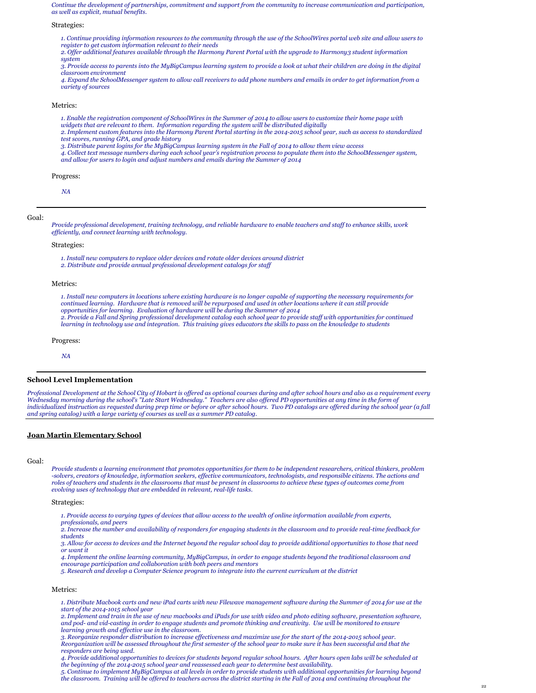*Continue the development of partnerships, commitment and support from the community to increase communication and participation, as well as explicit, mutual benefits.*

Strategies:

*1. Continue providing information resources to the community through the use of the SchoolWires portal web site and allow users to register to get custom information relevant to their needs*

*2. Offer additional features available through the Harmony Parent Portal with the upgrade to Harmony3 student information system*

*3. Provide access to parents into the MyBigCampus learning system to provide a look at what their children are doing in the digital classroom environment*

*4. Expand the SchoolMessenger system to allow call receivers to add phone numbers and emails in order to get information from a variety of sources*

Metrics:

- *1. Enable the registration component of SchoolWires in the Summer of 2014 to allow users to customize their home page with*
- *widgets that are relevant to them. Information regarding the system will be distributed digitally*
- *2. Implement custom features into the Harmony Parent Portal starting in the 2014-2015 school year, such as access to standardized test scores, running GPA, and grade history*
- *3. Distribute parent logins for the MyBigCampus learning system in the Fall of 2014 to allow them view access*
- *4. Collect text message numbers during each school year's registration process to populate them into the SchoolMessenger system, and allow for users to login and adjust numbers and emails during the Summer of 2014*

Progress:

*NA*

Goal:

*Provide professional development, training technology, and reliable hardware to enable teachers and staff to enhance skills, work efficiently, and connect learning with technology.*

Strategies:

*1. Install new computers to replace older devices and rotate older devices around district*

*2. Distribute and provide annual professional development catalogs for staff*

Metrics:

*1. Install new computers in locations where existing hardware is no longer capable of supporting the necessary requirements for continued learning. Hardware that is removed will be repurposed and used in other locations where it can still provide opportunities for learning. Evaluation of hardware will be during the Summer of 2014 2. Provide a Fall and Spring professional development catalog each school year to provide staff with opportunities for continued learning in technology use and integration. This training gives educators the skills to pass on the knowledge to students*

Progress:

*NA*

### **School Level Implementation**

*Professional Development at the School City of Hobart is offered as optional courses during and after school hours and also as a requirement every Wednesday morning during the school's "Late Start Wednesday." Teachers are also offered PD opportunities at any time in the form of individualized instruction as requested during prep time or before or after school hours. Two PD catalogs are offered during the school year (a fall and spring catalog) with a large variety of courses as well as a summer PD catalog.*

### **Joan Martin Elementary School**

Goal:

*Provide students a learning environment that promotes opportunities for them to be independent researchers, critical thinkers, problem -solvers, creators of knowledge, information seekers, effective communicators, technologists, and responsible citizens. The actions and roles of teachers and students in the classrooms that must be present in classrooms to achieve these types of outcomes come from evolving uses of technology that are embedded in relevant, real-life tasks.*

Strategies:

*1. Provide access to varying types of devices that allow access to the wealth of online information available from experts, professionals, and peers*

*2. Increase the number and availability of responders for engaging students in the classroom and to provide real-time feedback for students*

*3. Allow for access to devices and the Internet beyond the regular school day to provide additional opportunities to those that need or want it*

*4. Implement the online learning community, MyBigCampus, in order to engage students beyond the traditional classroom and encourage participation and collaboration with both peers and mentors*

*5. Research and develop a Computer Science program to integrate into the current curriculum at the district*

# Metrics:

*1. Distribute Macbook carts and new iPad carts with new Filewave management software during the Summer of 2014 for use at the start of the 2014-1015 school year*

*2. Implement and train in the use of new macbooks and iPads for use with video and photo editing software, presentation software, and pod- and vid-casting in order to engage students and promote thinking and creativity. Use will be monitored to ensure learning growth and effective use in the classroom.*

*3. Reorganize responder distribution to increase effectiveness and maximize use for the start of the 2014-2015 school year. Reorganization will be assessed throughout the first semester of the school year to make sure it has been successful and that the responders are being used.*

*4. Provide additional opportunities to devices for students beyond regular school hours. After hours open labs will be scheduled at the beginning of the 2014-2015 school year and reassessed each year to determine best availability.*

*5. Continue to implement MyBigCampus at all levels in order to provide students with additional opportunities for learning beyond the classroom. Training will be offered to teachers across the district starting in the Fall of 2014 and continuing throughout the*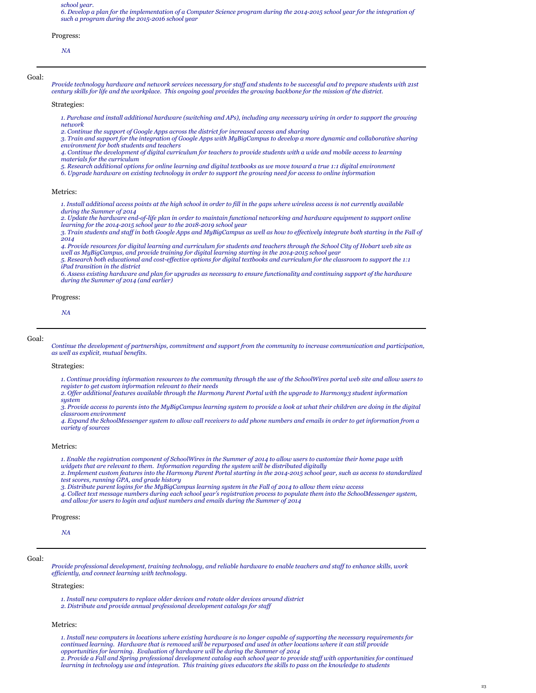*school year.*

*6. Develop a plan for the implementation of a Computer Science program during the 2014-2015 school year for the integration of such a program during the 2015-2016 school year*

#### Progress:

*NA*

Goal:

*Provide technology hardware and network services necessary for staff and students to be successful and to prepare students with 21st century skills for life and the workplace. This ongoing goal provides the growing backbone for the mission of the district.*

Strategies:

*1. Purchase and install additional hardware (switching and APs), including any necessary wiring in order to support the growing network*

*2. Continue the support of Google Apps across the district for increased access and sharing*

*3. Train and support for the integration of Google Apps with MyBigCampus to develop a more dynamic and collaborative sharing environment for both students and teachers*

*4. Continue the development of digital curriculum for teachers to provide students with a wide and mobile access to learning materials for the curriculum*

*5. Research additional options for online learning and digital textbooks as we move toward a true 1:1 digital environment*

*6. Upgrade hardware on existing technology in order to support the growing need for access to online information*

# Metrics:

*1. Install additional access points at the high school in order to fill in the gaps where wireless access is not currently available during the Summer of 2014*

*2. Update the hardware end-of-life plan in order to maintain functional networking and hardware equipment to support online learning for the 2014-2015 school year to the 2018-2019 school year*

*3. Train students and staff in both Google Apps and MyBigCampus as well as how to effectively integrate both starting in the Fall of 2014*

*4. Provide resources for digital learning and curriculum for students and teachers through the School City of Hobart web site as well as MyBigCampus, and provide training for digital learning starting in the 2014-2015 school year*

*5. Research both educational and cost-effective options for digital textbooks and curriculum for the classroom to support the 1:1 iPad transition in the district*

*6. Assess existing hardware and plan for upgrades as necessary to ensure functionality and continuing support of the hardware during the Summer of 2014 (and earlier)*

### Progress:

*NA*

#### Goal:

*Continue the development of partnerships, commitment and support from the community to increase communication and participation, as well as explicit, mutual benefits.*

### Strategies:

*1. Continue providing information resources to the community through the use of the SchoolWires portal web site and allow users to register to get custom information relevant to their needs*

*2. Offer additional features available through the Harmony Parent Portal with the upgrade to Harmony3 student information system*

*3. Provide access to parents into the MyBigCampus learning system to provide a look at what their children are doing in the digital classroom environment*

*4. Expand the SchoolMessenger system to allow call receivers to add phone numbers and emails in order to get information from a variety of sources*

# Metrics:

*1. Enable the registration component of SchoolWires in the Summer of 2014 to allow users to customize their home page with* 

*widgets that are relevant to them. Information regarding the system will be distributed digitally*

*2. Implement custom features into the Harmony Parent Portal starting in the 2014-2015 school year, such as access to standardized test scores, running GPA, and grade history*

*3. Distribute parent logins for the MyBigCampus learning system in the Fall of 2014 to allow them view access*

*4. Collect text message numbers during each school year's registration process to populate them into the SchoolMessenger system, and allow for users to login and adjust numbers and emails during the Summer of 2014*

#### Progress:

*NA*

## Goal:

*Provide professional development, training technology, and reliable hardware to enable teachers and staff to enhance skills, work efficiently, and connect learning with technology.*

### Strategies:

*1. Install new computers to replace older devices and rotate older devices around district*

*2. Distribute and provide annual professional development catalogs for staff*

# Metrics:

*1. Install new computers in locations where existing hardware is no longer capable of supporting the necessary requirements for continued learning. Hardware that is removed will be repurposed and used in other locations where it can still provide opportunities for learning. Evaluation of hardware will be during the Summer of 2014 2. Provide a Fall and Spring professional development catalog each school year to provide staff with opportunities for continued learning in technology use and integration. This training gives educators the skills to pass on the knowledge to students*